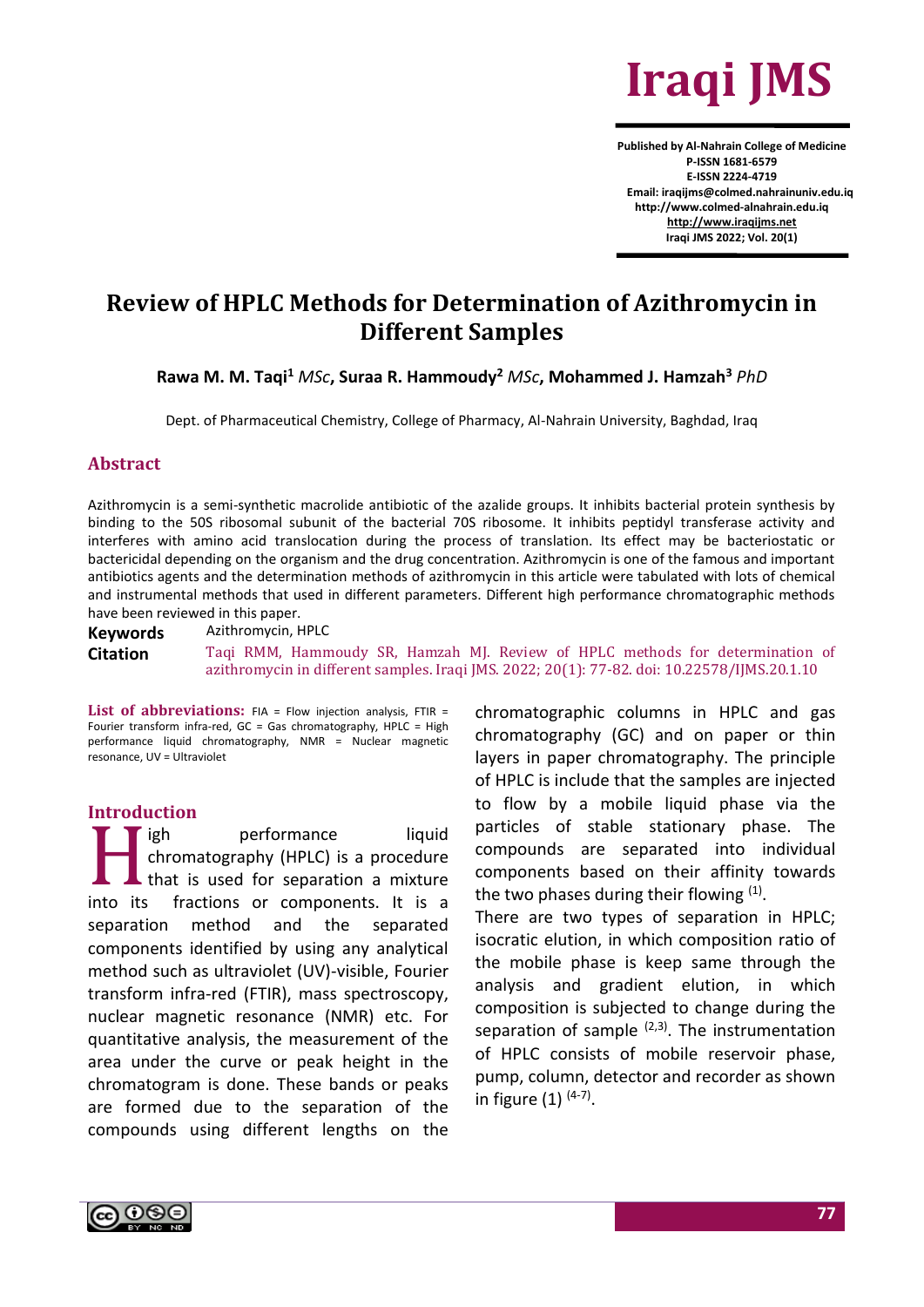

**Published by Al-Nahrain College of Medicine P-ISSN 1681-6579 E-ISSN 2224-4719 Email: iraqijms@colmed.nahrainuniv.edu.iq http://www.colmed-alnahrain.edu.iq [http://www.iraqijms.net](http://www.iraqijms.net/) Iraqi JMS 2022; Vol. 20(1)**

# **Review of HPLC Methods for Determination of Azithromycin in Different Samples**

**Rawa M. M. Taqi<sup>1</sup>** *MSc***, Suraa R. Hammoudy<sup>2</sup>** *MSc***, Mohammed J. Hamzah<sup>3</sup>** *PhD*

Dept. of Pharmaceutical Chemistry, College of Pharmacy, Al-Nahrain University, Baghdad, Iraq

#### **Abstract**

Azithromycin is a semi-synthetic macrolide antibiotic of the azalide groups. It inhibits bacterial protein synthesis by binding to the 50S ribosomal subunit of the bacterial 70S ribosome. It inhibits peptidyl transferase activity and interferes with amino acid translocation during the process of translation. Its effect may be bacteriostatic or bactericidal depending on the organism and the drug concentration. Azithromycin is one of the famous and important antibiotics agents and the determination methods of azithromycin in this article were tabulated with lots of chemical and instrumental methods that used in different parameters. Different high performance chromatographic methods have been reviewed in this paper.

**Keywords** Azithromycin, HPLC

**Citation** Taqi RMM, Hammoudy SR, Hamzah MJ. Review of HPLC methods for determination of azithromycin in different samples. Iraqi JMS. 2022; 20(1): 77-82. doi: 10.22578/IJMS.20.1.10

List of abbreviations: FIA = Flow injection analysis, FTIR = Fourier transform infra-red, GC = Gas chromatography, HPLC = High performance liquid chromatography, NMR = Nuclear magnetic resonance, UV = Ultraviolet

## **Introduction**

igh performance liquid chromatography (HPLC) is a procedure that is used for separation a mixture into its fractions or components. It is a separation method and the separated components identified by using any analytical method such as ultraviolet (UV)-visible, Fourier transform infra-red (FTIR), mass spectroscopy, nuclear magnetic resonance (NMR) etc. For quantitative analysis, the measurement of the area under the curve or peak height in the chromatogram is done. These bands or peaks are formed due to the separation of the compounds using different lengths on the  $H$ 

chromatographic columns in HPLC and gas chromatography (GC) and on paper or thin layers in paper chromatography. The principle of HPLC is include that the samples are injected to flow by a mobile liquid phase via the particles of stable stationary phase. The compounds are separated into individual components based on their affinity towards the two phases during their flowing  $(1)$ . There are two types of separation in HPLC;

isocratic elution, in which composition ratio of the mobile phase is keep same through the analysis and gradient elution, in which composition is subjected to change during the separation of sample  $(2,3)$ . The instrumentation of HPLC consists of mobile reservoir phase, pump, column, detector and recorder as shown in figure  $(1)$  <sup>(4-7)</sup>.

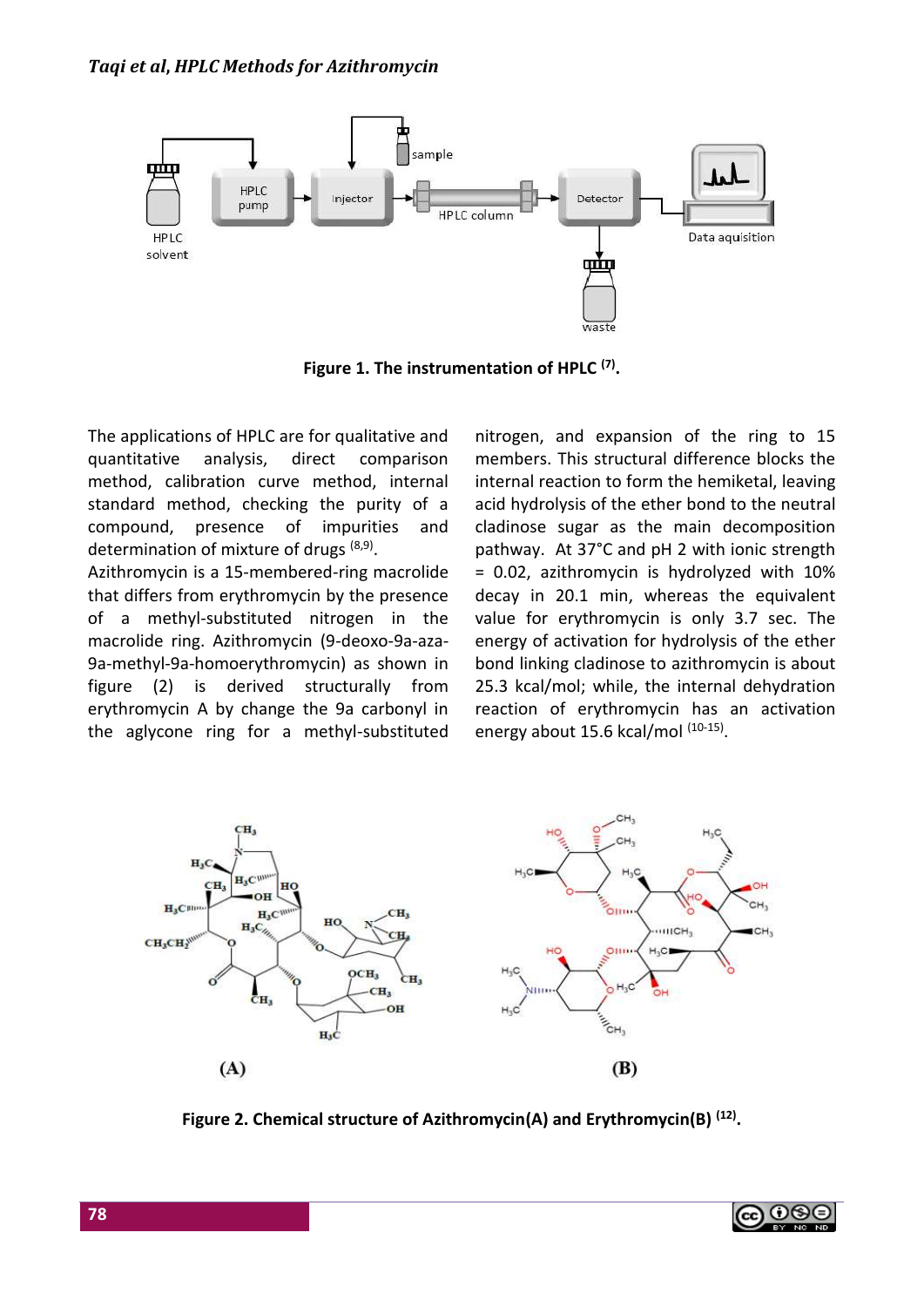

**Figure 1. The instrumentation of HPLC (7) .**

The applications of HPLC are for qualitative and quantitative analysis, direct comparison method, calibration curve method, internal standard method, checking the purity of a compound, presence of impurities and determination of mixture of drugs <sup>(8,9)</sup>.

Azithromycin is a 15-membered-ring macrolide that differs from erythromycin by the presence of a methyl-substituted nitrogen in the macrolide ring. Azithromycin (9-deoxo-9a-aza-9a-methyl-9a-homoerythromycin) as shown in figure (2) is derived structurally from erythromycin A by change the 9a carbonyl in the aglycone ring for a methyl-substituted nitrogen, and expansion of the ring to 15 members. This structural difference blocks the internal reaction to form the hemiketal, leaving acid hydrolysis of the ether bond to the neutral cladinose sugar as the main decomposition pathway. At 37°C and pH 2 with ionic strength = 0.02, azithromycin is hydrolyzed with 10% decay in 20.1 min, whereas the equivalent value for erythromycin is only 3.7 sec. The energy of activation for hydrolysis of the ether bond linking cladinose to azithromycin is about 25.3 kcal/mol; while, the internal dehydration reaction of erythromycin has an activation energy about 15.6 kcal/mol (10-15).



**Figure 2. Chemical structure of Azithromycin(A) and Erythromycin(B) (12) .**

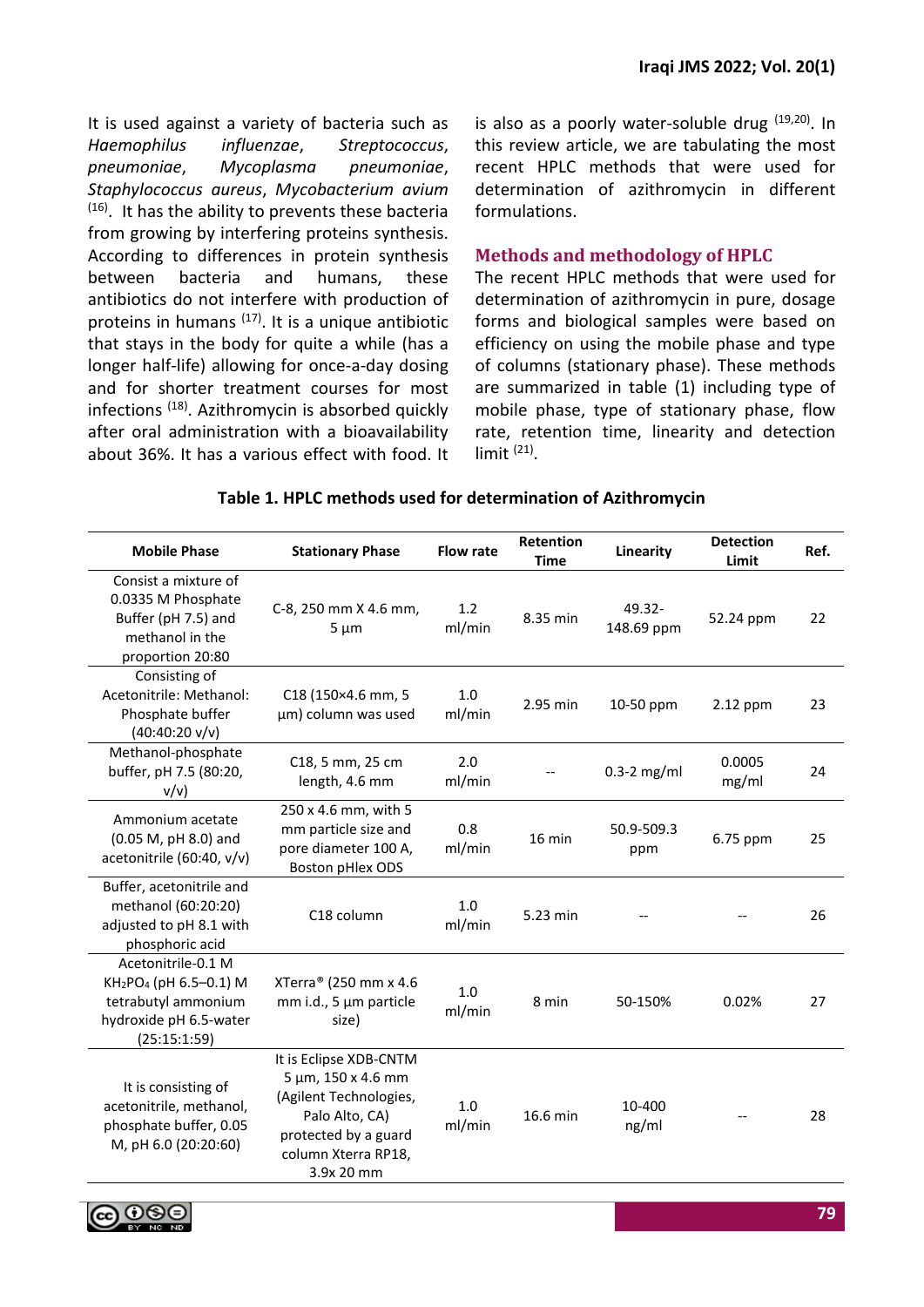It is used against a variety of bacteria such as *Haemophilus influenzae*, *Streptococcus*, *pneumoniae*, *Mycoplasma pneumoniae*, *Staphylococcus aureus*, *Mycobacterium avium*  $(16)$ . It has the ability to prevents these bacteria from growing by interfering proteins synthesis. According to differences in protein synthesis between bacteria and humans, these antibiotics do not interfere with production of proteins in humans  $(17)$ . It is a unique antibiotic that stays in the body for quite a while (has a longer half-life) allowing for once-a-day dosing and for shorter treatment courses for most infections (18). Azithromycin is absorbed quickly after oral administration with a bioavailability about 36%. It has a various effect with food. It is also as a poorly water-soluble drug  $(19,20)$ . In this review article, we are tabulating the most recent HPLC methods that were used for determination of azithromycin in different formulations.

# **Methods and methodology of HPLC**

The recent HPLC methods that were used for determination of azithromycin in pure, dosage forms and biological samples were based on efficiency on using the mobile phase and type of columns (stationary phase). These methods are summarized in table (1) including type of mobile phase, type of stationary phase, flow rate, retention time, linearity and detection  $limit$   $(21)$ .

| <b>Mobile Phase</b>                                                                                                                   | <b>Stationary Phase</b>                                                                                                                                     | <b>Flow rate</b> | Retention<br><b>Time</b> | Linearity               | <b>Detection</b><br>Limit | Ref. |
|---------------------------------------------------------------------------------------------------------------------------------------|-------------------------------------------------------------------------------------------------------------------------------------------------------------|------------------|--------------------------|-------------------------|---------------------------|------|
| Consist a mixture of<br>0.0335 M Phosphate<br>Buffer (pH 7.5) and<br>methanol in the<br>proportion 20:80                              | C-8, 250 mm X 4.6 mm,<br>$5 \mu m$                                                                                                                          | 1.2<br>ml/min    | 8.35 min                 | $49.32 -$<br>148.69 ppm | 52.24 ppm                 | 22   |
| Consisting of<br>Acetonitrile: Methanol:<br>Phosphate buffer<br>$(40:40:20 \text{ v/v})$                                              | C18 (150×4.6 mm, 5<br>µm) column was used                                                                                                                   | 1.0<br>ml/min    | 2.95 min                 | 10-50 ppm               | 2.12 ppm                  | 23   |
| Methanol-phosphate<br>buffer, pH 7.5 (80:20,<br>v/v                                                                                   | C18, 5 mm, 25 cm<br>length, 4.6 mm                                                                                                                          | 2.0<br>ml/min    |                          | $0.3-2$ mg/ml           | 0.0005<br>mg/ml           | 24   |
| Ammonium acetate<br>(0.05 M, pH 8.0) and<br>acetonitrile (60:40, v/v)                                                                 | 250 x 4.6 mm, with 5<br>mm particle size and<br>pore diameter 100 A,<br><b>Boston pHlex ODS</b>                                                             | 0.8<br>ml/min    | $16$ min                 | 50.9-509.3<br>ppm       | 6.75 ppm                  | 25   |
| Buffer, acetonitrile and<br>methanol (60:20:20)<br>adjusted to pH 8.1 with<br>phosphoric acid                                         | C18 column                                                                                                                                                  | 1.0<br>ml/min    | 5.23 min                 |                         |                           | 26   |
| Acetonitrile-0.1 M<br>KH <sub>2</sub> PO <sub>4</sub> (pH 6.5-0.1) M<br>tetrabutyl ammonium<br>hydroxide pH 6.5-water<br>(25:15:1:59) | XTerra® (250 mm x 4.6<br>mm i.d., 5 µm particle<br>size)                                                                                                    | 1.0<br>ml/min    | 8 min                    | 50-150%                 | 0.02%                     | 27   |
| It is consisting of<br>acetonitrile, methanol,<br>phosphate buffer, 0.05<br>M, pH 6.0 (20:20:60)                                      | It is Eclipse XDB-CNTM<br>$5 \mu m$ , 150 x 4.6 mm<br>(Agilent Technologies,<br>Palo Alto, CA)<br>protected by a guard<br>column Xterra RP18,<br>3.9x 20 mm | 1.0<br>ml/min    | 16.6 min                 | 10-400<br>ng/ml         |                           | 28   |

### **Table 1. HPLC methods used for determination of Azithromycin**

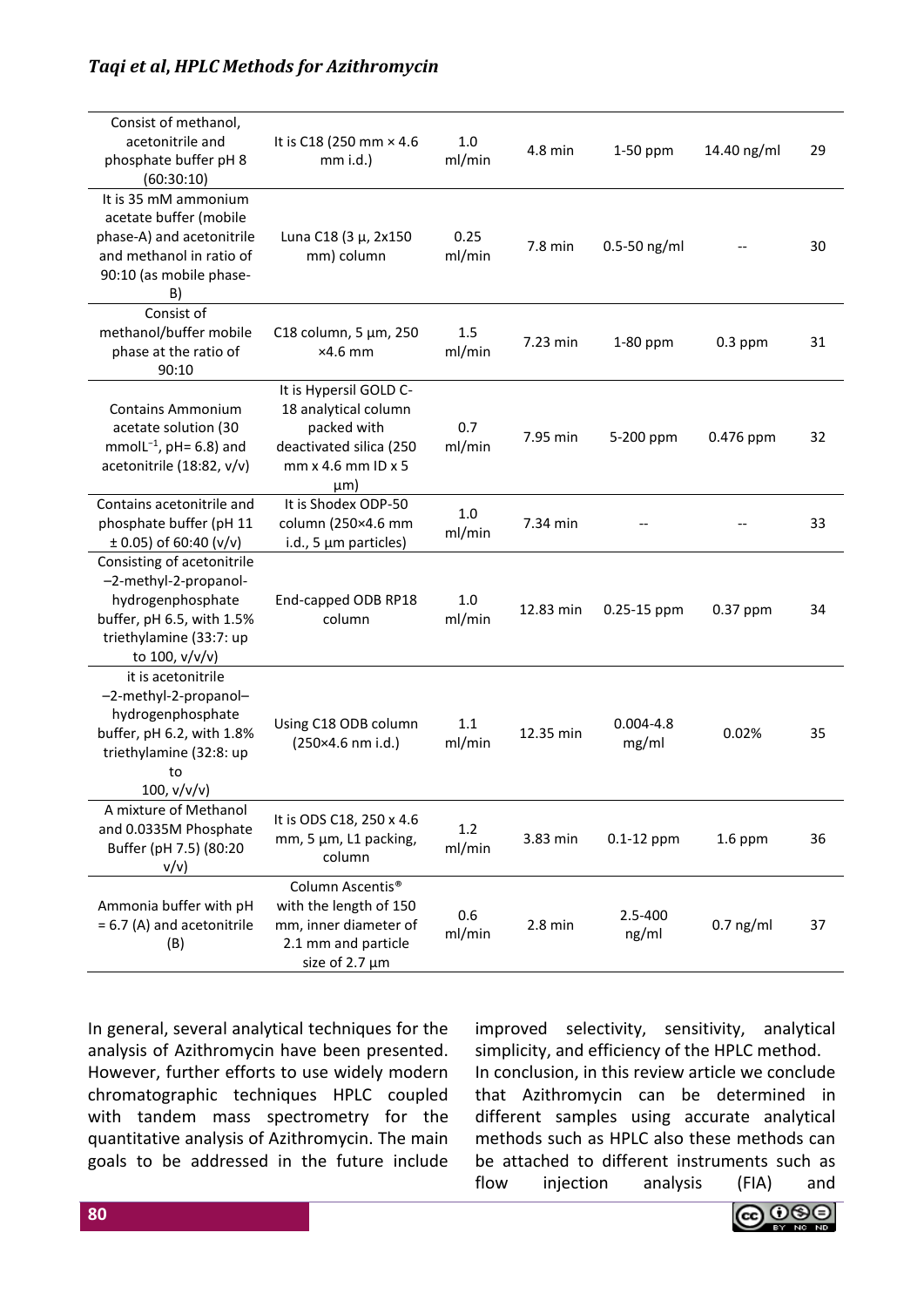# *Taqi et al***,** *HPLC Methods for Azithromycin*

| Consist of methanol,<br>acetonitrile and<br>phosphate buffer pH 8<br>(60:30:10)                                                                    | It is C18 (250 mm × 4.6)<br>$mm$ i.d.)                                                                                     | 1.0<br>ml/min  | 4.8 min   | 1-50 ppm               | 14.40 ng/ml | 29 |
|----------------------------------------------------------------------------------------------------------------------------------------------------|----------------------------------------------------------------------------------------------------------------------------|----------------|-----------|------------------------|-------------|----|
| It is 35 mM ammonium<br>acetate buffer (mobile<br>phase-A) and acetonitrile<br>and methanol in ratio of<br>90:10 (as mobile phase-<br>B)           | Luna C18 (3 µ, 2x150<br>mm) column                                                                                         | 0.25<br>ml/min | 7.8 min   | $0.5 - 50$ ng/ml       |             | 30 |
| Consist of<br>methanol/buffer mobile<br>phase at the ratio of<br>90:10                                                                             | C18 column, 5 µm, 250<br>$\times$ 4.6 mm                                                                                   | 1.5<br>ml/min  | 7.23 min  | 1-80 ppm               | $0.3$ ppm   | 31 |
| <b>Contains Ammonium</b><br>acetate solution (30<br>mmolL $^{-1}$ , pH= 6.8) and<br>acetonitrile (18:82, v/v)                                      | It is Hypersil GOLD C-<br>18 analytical column<br>packed with<br>deactivated silica (250<br>mm x 4.6 mm ID x 5<br>$\mu$ m) | 0.7<br>ml/min  | 7.95 min  | 5-200 ppm              | 0.476 ppm   | 32 |
| Contains acetonitrile and<br>phosphate buffer (pH 11<br>$\pm$ 0.05) of 60:40 (v/v)                                                                 | It is Shodex ODP-50<br>column (250×4.6 mm<br>i.d., 5 µm particles)                                                         | 1.0<br>ml/min  | 7.34 min  |                        |             | 33 |
| Consisting of acetonitrile<br>-2-methyl-2-propanol-<br>hydrogenphosphate<br>buffer, pH 6.5, with 1.5%<br>triethylamine (33:7: up<br>to 100, v/v/v) | End-capped ODB RP18<br>column                                                                                              | 1.0<br>ml/min  | 12.83 min | 0.25-15 ppm            | $0.37$ ppm  | 34 |
| it is acetonitrile<br>-2-methyl-2-propanol-<br>hydrogenphosphate<br>buffer, pH 6.2, with 1.8%<br>triethylamine (32:8: up<br>to<br>100, v/v/v)      | Using C18 ODB column<br>(250×4.6 nm i.d.)                                                                                  | 1.1<br>ml/min  | 12.35 min | $0.004 - 4.8$<br>mg/ml | 0.02%       | 35 |
| A mixture of Methanol<br>and 0.0335M Phosphate<br>Buffer (pH 7.5) (80:20<br>v/v)                                                                   | It is ODS C18, 250 x 4.6<br>mm, 5 µm, L1 packing,<br>column                                                                | 1.2<br>ml/min  | 3.83 min  | $0.1-12$ ppm           | $1.6$ ppm   | 36 |
| Ammonia buffer with pH<br>= 6.7 (A) and acetonitrile<br>(B)                                                                                        | Column Ascentis <sup>®</sup><br>with the length of 150<br>mm, inner diameter of<br>2.1 mm and particle<br>size of 2.7 µm   | 0.6<br>ml/min  | $2.8$ min | 2.5-400<br>ng/ml       | $0.7$ ng/ml | 37 |

In general, several analytical techniques for the analysis of Azithromycin have been presented. However, further efforts to use widely modern chromatographic techniques HPLC coupled with tandem mass spectrometry for the quantitative analysis of Azithromycin. The main goals to be addressed in the future include improved selectivity, sensitivity, analytical simplicity, and efficiency of the HPLC method. In conclusion, in this review article we conclude that Azithromycin can be determined in different samples using accurate analytical methods such as HPLC also these methods can be attached to different instruments such as flow injection analysis (FIA) and

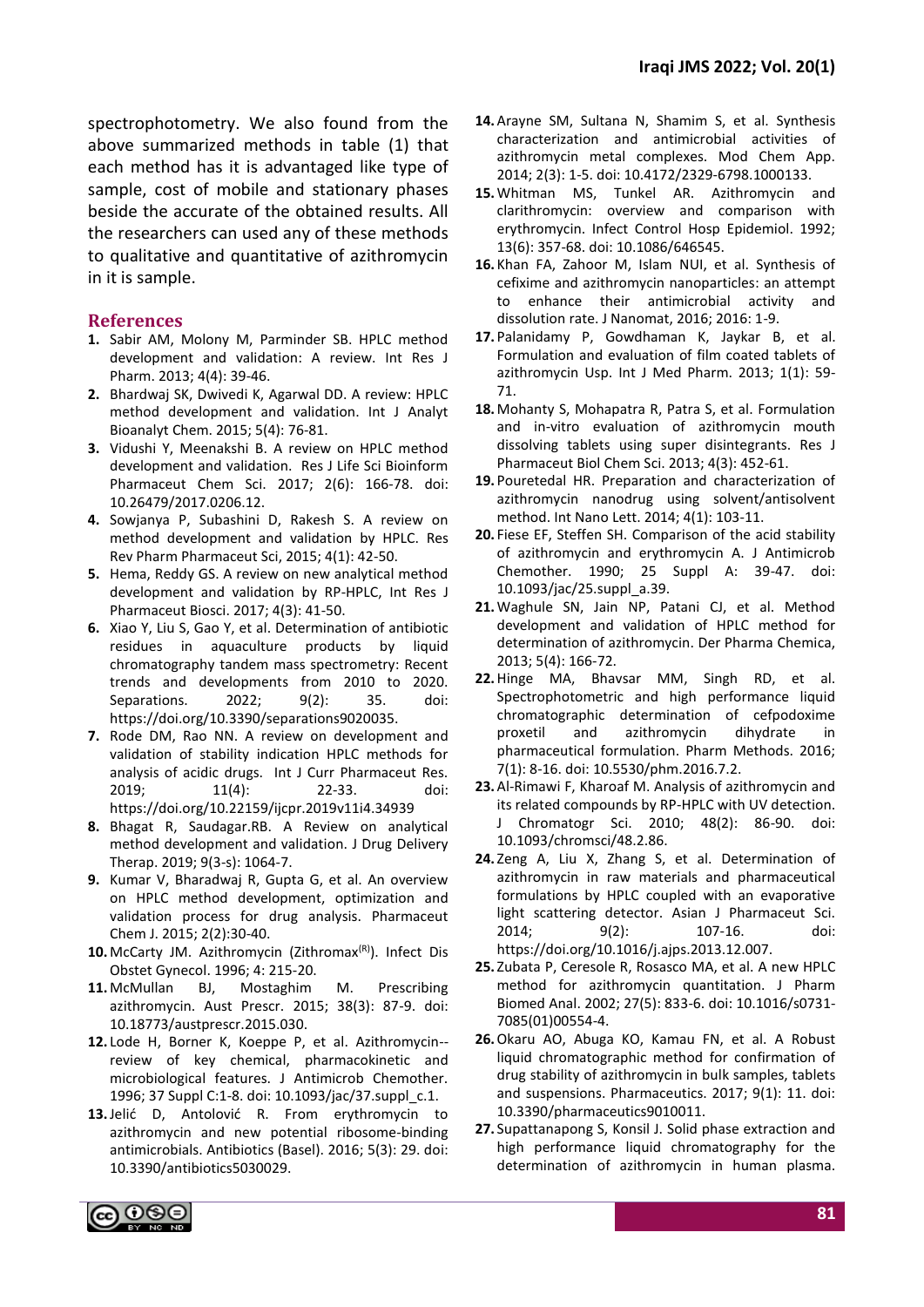spectrophotometry. We also found from the above summarized methods in table (1) that each method has it is advantaged like type of sample, cost of mobile and stationary phases beside the accurate of the obtained results. All the researchers can used any of these methods to qualitative and quantitative of azithromycin in it is sample.

### **References**

- **1.** Sabir AM, Molony M, Parminder SB. HPLC method development and validation: A review. Int Res J Pharm. 2013; 4(4): 39-46.
- **2.** Bhardwaj SK, Dwivedi K, Agarwal DD. A review: HPLC method development and validation. Int J Analyt Bioanalyt Chem. 2015; 5(4): 76-81.
- **3.** Vidushi Y, Meenakshi B. A review on HPLC method development and validation. Res J Life Sci Bioinform Pharmaceut Chem Sci. 2017; 2(6): 166-78. doi: 10.26479/2017.0206.12.
- **4.** Sowjanya P, Subashini D, Rakesh S. A review on method development and validation by HPLC. Res Rev Pharm Pharmaceut Sci, 2015; 4(1): 42-50.
- **5.** Hema, Reddy GS. A review on new analytical method development and validation by RP-HPLC, Int Res J Pharmaceut Biosci. 2017; 4(3): 41-50.
- **6.** Xiao Y, Liu S, Gao Y, et al. Determination of antibiotic residues in aquaculture products by liquid chromatography tandem mass spectrometry: Recent trends and developments from 2010 to 2020. Separations. 2022; 9(2): 35. doi: https://doi.org/10.3390/separations9020035.
- **7.** Rode DM, Rao NN. A review on development and validation of stability indication HPLC methods for analysis of acidic drugs. Int J Curr Pharmaceut Res. 2019; 11(4): 22-33. doi: https://doi.org/10.22159/ijcpr.2019v11i4.34939
- **8.** Bhagat R, Saudagar.RB. A Review on analytical method development and validation. J Drug Delivery Therap. 2019; 9(3-s): 1064-7.
- **9.** Kumar V, Bharadwaj R, Gupta G, et al. An overview on HPLC method development, optimization and validation process for drug analysis. Pharmaceut Chem J. 2015; 2(2):30-40.
- 10. McCarty JM. Azithromycin (Zithromax<sup>(R)</sup>). Infect Dis Obstet Gynecol. 1996; 4: 215-20.
- **11.** McMullan BJ, Mostaghim M. Prescribing azithromycin. Aust Prescr. 2015; 38(3): 87-9. doi: 10.18773/austprescr.2015.030.
- **12.** Lode H, Borner K, Koeppe P, et al. Azithromycin- review of key chemical, pharmacokinetic and microbiological features. J Antimicrob Chemother. 1996; 37 Suppl C:1-8. doi: 10.1093/jac/37.suppl\_c.1.
- **13.**Jelić D, Antolović R. From erythromycin to azithromycin and new potential ribosome-binding antimicrobials. Antibiotics (Basel). 2016; 5(3): 29. doi: 10.3390/antibiotics5030029.
- **14.**Arayne SM, Sultana N, Shamim S, et al. Synthesis characterization and antimicrobial activities of azithromycin metal complexes. Mod Chem App. 2014; 2(3): 1-5. doi: 10.4172/2329-6798.1000133.
- **15.**Whitman MS, Tunkel AR. Azithromycin and clarithromycin: overview and comparison with erythromycin. Infect Control Hosp Epidemiol. 1992; 13(6): 357-68. doi: 10.1086/646545.
- **16.** Khan FA, Zahoor M, Islam NUI, et al. Synthesis of cefixime and azithromycin nanoparticles: an attempt to enhance their antimicrobial activity and dissolution rate. J Nanomat, 2016; 2016: 1-9.
- **17.** Palanidamy P, Gowdhaman K, Jaykar B, et al. Formulation and evaluation of film coated tablets of azithromycin Usp. Int J Med Pharm. 2013; 1(1): 59- 71.
- **18.** Mohanty S, Mohapatra R, Patra S, et al. Formulation and in-vitro evaluation of azithromycin mouth dissolving tablets using super disintegrants. Res J Pharmaceut Biol Chem Sci. 2013; 4(3): 452-61.
- **19.** Pouretedal HR. Preparation and characterization of azithromycin nanodrug using solvent/antisolvent method. Int Nano Lett. 2014; 4(1): 103-11.
- **20.** Fiese EF, Steffen SH. Comparison of the acid stability of azithromycin and erythromycin A. J Antimicrob Chemother. 1990; 25 Suppl A: 39-47. doi: 10.1093/jac/25.suppl\_a.39.
- **21.**Waghule SN, Jain NP, Patani CJ, et al. Method development and validation of HPLC method for determination of azithromycin. Der Pharma Chemica, 2013; 5(4): 166-72.
- **22.**Hinge MA, Bhavsar MM, Singh RD, et al. Spectrophotometric and high performance liquid chromatographic determination of cefpodoxime proxetil and azithromycin dihydrate in pharmaceutical formulation. Pharm Methods. 2016; 7(1): 8-16. doi: 10.5530/phm.2016.7.2.
- **23.**Al-Rimawi F, Kharoaf M. Analysis of azithromycin and its related compounds by RP-HPLC with UV detection. J Chromatogr Sci. 2010; 48(2): 86-90. doi: 10.1093/chromsci/48.2.86.
- **24.** Zeng A, Liu X, Zhang S, et al. Determination of azithromycin in raw materials and pharmaceutical formulations by HPLC coupled with an evaporative light scattering detector. Asian J Pharmaceut Sci. 2014; 9(2): 107-16. doi: https://doi.org/10.1016/j.ajps.2013.12.007.
- **25.** Zubata P, Ceresole R, Rosasco MA, et al. A new HPLC method for azithromycin quantitation. J Pharm Biomed Anal. 2002; 27(5): 833-6. doi: 10.1016/s0731- 7085(01)00554-4.
- **26.**Okaru AO, Abuga KO, Kamau FN, et al. A Robust liquid chromatographic method for confirmation of drug stability of azithromycin in bulk samples, tablets and suspensions. Pharmaceutics. 2017; 9(1): 11. doi: 10.3390/pharmaceutics9010011.
- **27.** Supattanapong S, Konsil J. Solid phase extraction and high performance liquid chromatography for the determination of azithromycin in human plasma.

ଇ ⊙®⊜